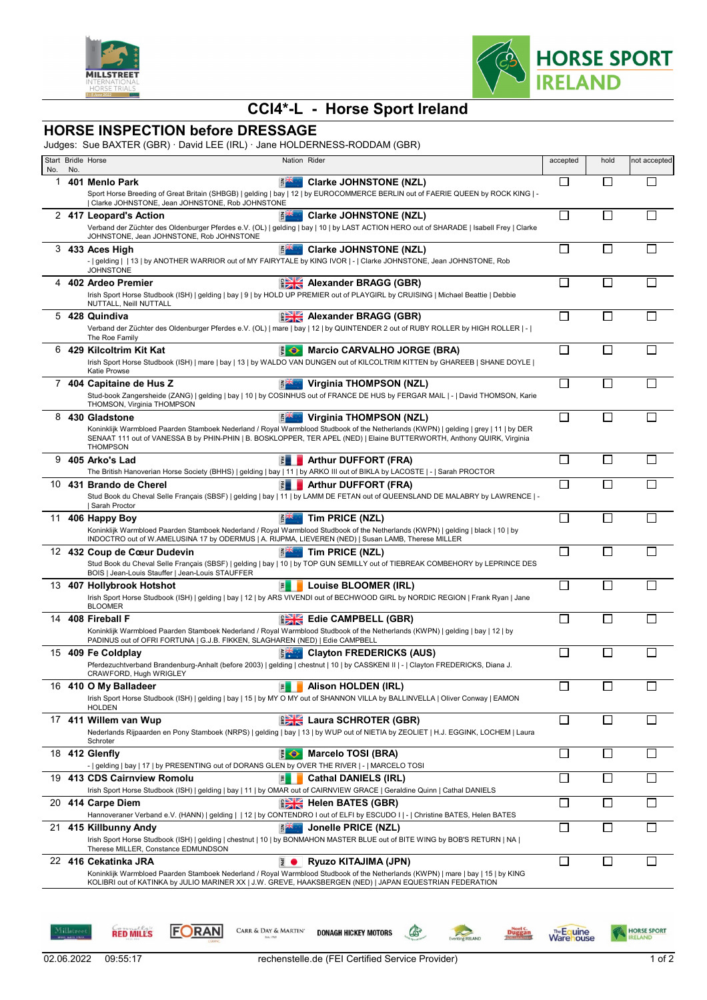



## **CCI4\*-L - Horse Sport Ireland**

## **HORSE INSPECTION before DRESSAGE**

Judges: Sue BAXTER (GBR) · David LEE (IRL) · Jane HOLDERNESS-RODDAM (GBR)

| No.          | Start Bridle Horse<br>No. | Nation Rider                                                                                                                                                                                                                                                                                                                          | accepted     | hold                        | not accepted |
|--------------|---------------------------|---------------------------------------------------------------------------------------------------------------------------------------------------------------------------------------------------------------------------------------------------------------------------------------------------------------------------------------|--------------|-----------------------------|--------------|
| $\mathbf{1}$ |                           | 401 Menlo Park<br>R.<br><b>Clarke JOHNSTONE (NZL)</b><br>Sport Horse Breeding of Great Britain (SHBGB)   gelding   bay   12   by EUROCOMMERCE BERLIN out of FAERIE QUEEN by ROCK KING   -<br>  Clarke JOHNSTONE, Jean JOHNSTONE, Rob JOHNSTONE                                                                                        | $\mathsf{I}$ | $\mathsf{I}$                |              |
|              |                           | 2 417 Leopard's Action<br><b>Clarke JOHNSTONE (NZL)</b><br>Verband der Züchter des Oldenburger Pferdes e.V. (OL)   gelding   bay   10   by LAST ACTION HERO out of SHARADE   Isabell Frey   Clarke<br>JOHNSTONE, Jean JOHNSTONE, Rob JOHNSTONE                                                                                        | Г            | $\Box$                      |              |
|              |                           | <b>Clarke JOHNSTONE (NZL)</b><br>ΚÈ<br>3 433 Aces High<br>-   gelding     13   by ANOTHER WARRIOR out of MY FAIRYTALE by KING IVOR   -   Clarke JOHNSTONE, Jean JOHNSTONE, Rob<br><b>JOHNSTONE</b>                                                                                                                                    | □            | $\Box$                      | П            |
|              |                           | <b>Alexander BRAGG (GBR)</b><br>4 402 Ardeo Premier<br>Irish Sport Horse Studbook (ISH)   gelding   bay   9   by HOLD UP PREMIER out of PLAYGIRL by CRUISING   Michael Beattie   Debbie<br>NUTTALL, Neill NUTTALL                                                                                                                     | $\Box$       | $\mathcal{L}_{\mathcal{A}}$ |              |
|              |                           | <b>Alexander BRAGG (GBR)</b><br>5 428 Quindiva<br>Verband der Züchter des Oldenburger Pferdes e.V. (OL)   mare   bay   12   by QUINTENDER 2 out of RUBY ROLLER by HIGH ROLLER   -  <br>The Roe Family                                                                                                                                 | П            | $\Box$                      |              |
|              |                           | 6 429 Kilcoltrim Kit Kat<br><b>S</b> Marcio CARVALHO JORGE (BRA)<br>Irish Sport Horse Studbook (ISH)   mare   bay   13   by WALDO VAN DUNGEN out of KILCOLTRIM KITTEN by GHAREEB   SHANE DOYLE  <br>Katie Prowse                                                                                                                      | П            | $\mathcal{L}_{\mathcal{A}}$ |              |
|              |                           | 7 404 Capitaine de Hus Z<br><b>Virginia THOMPSON (NZL)</b><br>Stud-book Zangersheide (ZANG)   gelding   bay   10   by COSINHUS out of FRANCE DE HUS by FERGAR MAIL   -   David THOMSON, Karie<br>THOMSON, Virginia THOMPSON                                                                                                           | П            | $\Box$                      |              |
|              |                           | <b>Virginia THOMPSON (NZL)</b><br>8 430 Gladstone<br>Koninklijk Warmbloed Paarden Stamboek Nederland / Royal Warmblood Studbook of the Netherlands (KWPN)   gelding   grey   11   by DER<br>SENAAT 111 out of VANESSA B by PHIN-PHIN   B. BOSKLOPPER, TER APEL (NED)   Elaine BUTTERWORTH, Anthony QUIRK, Virginia<br><b>THOMPSON</b> | П            |                             |              |
| 9            |                           | 405 Arko's Lad<br><b>Arthur DUFFORT (FRA)</b><br>图<br>The British Hanoverian Horse Society (BHHS)   gelding   bay   11   by ARKO III out of BIKLA by LACOSTE   -   Sarah PROCTOR                                                                                                                                                      | Г            | $\overline{\phantom{a}}$    |              |
|              |                           | <b>Arthur DUFFORT (FRA)</b><br>10 431 Brando de Cherel<br>$\frac{1}{2}$<br>Stud Book du Cheval Selle Français (SBSF)   gelding   bay   11   by LAMM DE FETAN out of QUEENSLAND DE MALABRY by LAWRENCE   -<br>  Sarah Proctor                                                                                                          | П            |                             |              |
|              |                           | 11 406 Happy Boy<br>Tim PRICE (NZL)<br>Koninklijk Warmbloed Paarden Stamboek Nederland / Royal Warmblood Studbook of the Netherlands (KWPN)   gelding   black   10   by<br>INDOCTRO out of W.AMELUSINA 17 by ODERMUS   A. RIJPMA, LIEVEREN (NED)   Susan LAMB, Therese MILLER                                                         | □            | $\Box$                      |              |
|              |                           | 12 432 Coup de Cœur Dudevin<br><b>AZAK</b><br>Tim PRICE (NZL)<br>Stud Book du Cheval Selle Français (SBSF)   gelding   bay   10   by TOP GUN SEMILLY out of TIEBREAK COMBEHORY by LEPRINCE DES<br>BOIS   Jean-Louis Stauffer   Jean-Louis STAUFFER                                                                                    | $\Box$       | $\Box$                      | П            |
|              |                           | <b>Louise BLOOMER (IRL)</b><br>13 407 Hollybrook Hotshot<br>国<br>Irish Sport Horse Studbook (ISH)   gelding   bay   12   by ARS VIVENDI out of BECHWOOD GIRL by NORDIC REGION   Frank Ryan   Jane<br><b>BLOOMER</b>                                                                                                                   | П            | $\Box$                      |              |
|              |                           | Edie CAMPBELL (GBR)<br>14 408 Fireball F<br>Koninklijk Warmbloed Paarden Stamboek Nederland / Royal Warmblood Studbook of the Netherlands (KWPN)   gelding   bay   12   by<br>PADINUS out of OFRI FORTUNA   G.J.B. FIKKEN, SLAGHAREN (NED)   Edie CAMPBELL                                                                            | $\Box$       | $\Box$                      | $\mathsf{L}$ |
|              |                           | 15 409 Fe Coldplay<br><b>Clayton FREDERICKS (AUS)</b><br>$\mathbb{R}^m$<br>Pferdezuchtverband Brandenburg-Anhalt (before 2003)   gelding   chestnut   10   by CASSKENI II   -   Clayton FREDERICKS, Diana J.<br>CRAWFORD, Hugh WRIGLEY                                                                                                | $\Box$       | $\mathcal{L}_{\mathcal{A}}$ |              |
|              |                           | 16 410 O My Balladeer<br><b>E</b> Alison HOLDEN (IRL)<br>Irish Sport Horse Studbook (ISH)   gelding   bay   15   by MY O MY out of SHANNON VILLA by BALLINVELLA   Oliver Conway   EAMON<br><b>HOLDEN</b>                                                                                                                              | □            | $\Box$                      | $\Box$       |
|              |                           | <b>EXECUTER (GBR)</b><br>17 411 Willem van Wup<br>Nederlands Rijpaarden en Pony Stamboek (NRPS)   gelding   bay   13   by WUP out of NIETIA by ZEOLIET   H.J. EGGINK, LOCHEM   Laura<br>Schroter                                                                                                                                      | П            | $\mathcal{L}_{\mathcal{A}}$ |              |
|              |                           | 18 412 Glenfly<br><b>EXAMPLE Marcelo TOSI (BRA)</b><br>-   gelding   bay   17   by PRESENTING out of DORANS GLEN by OVER THE RIVER   -   MARCELO TOSI                                                                                                                                                                                 | □            | $\Box$                      |              |
|              |                           | 19 413 CDS Cairnview Romolu<br><b>Cathal DANIELS (IRL)</b><br>国<br>Irish Sport Horse Studbook (ISH)   gelding   bay   11   by OMAR out of CAIRNVIEW GRACE   Geraldine Quinn   Cathal DANIELS                                                                                                                                          | $\mathsf{L}$ | $\mathcal{L}_{\mathcal{A}}$ |              |
|              |                           | <b>EXECUTE:</b> Helen BATES (GBR)<br>20 414 Carpe Diem<br>Hannoveraner Verband e.V. (HANN)   gelding     12   by CONTENDRO I out of ELFI by ESCUDO I   -   Christine BATES, Helen BATES                                                                                                                                               | $\Box$       | $\Box$                      |              |
| 21           |                           | Jonelle PRICE (NZL)<br>415 Killbunny Andy<br>Irish Sport Horse Studbook (ISH)   gelding   chestnut   10   by BONMAHON MASTER BLUE out of BITE WING by BOB'S RETURN   NA  <br>Therese MILLER, Constance EDMUNDSON                                                                                                                      | П            | $\Box$                      |              |
|              |                           | 22 416 Cekatinka JRA<br>$\overline{z}$ $\bullet$<br>Ryuzo KITAJIMA (JPN)<br>Koninklijk Warmbloed Paarden Stamboek Nederland / Royal Warmblood Studbook of the Netherlands (KWPN)   mare   bay   15   by KING<br>KOLIBRI out of KATINKA by JULIO MARINER XX   J.W. GREVE, HAAKSBERGEN (NED)   JAPAN EQUESTRIAN FEDERATION              | □            | $\Box$                      |              |

Millstr

**RED MILLS** 

**FORAN** 

 $\begin{picture}(220,20) \put(0,0){\line(1,0){10}} \put(15,0){\line(1,0){10}} \put(15,0){\line(1,0){10}} \put(15,0){\line(1,0){10}} \put(15,0){\line(1,0){10}} \put(15,0){\line(1,0){10}} \put(15,0){\line(1,0){10}} \put(15,0){\line(1,0){10}} \put(15,0){\line(1,0){10}} \put(15,0){\line(1,0){10}} \put(15,0){\line(1,0){10}} \put(15,0){\line($ 

Duggan

**CONTROLLAND** 

**Warehouse** 

CARR & DAY & MARTIN' DONAGH HICKEY MOTORS

HORSE SPORT